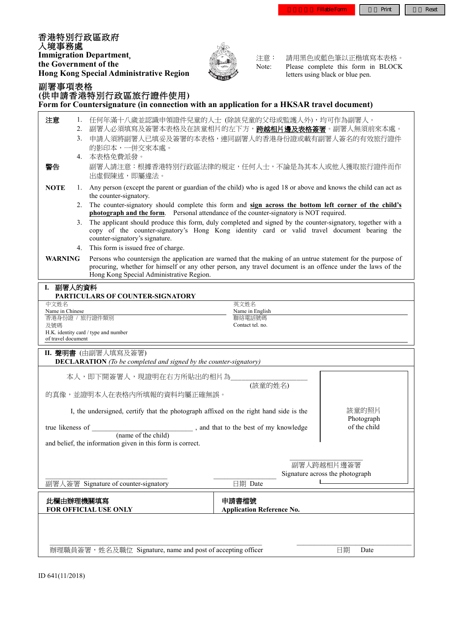香港特別行政區政府 入境事務處 **Immigration Department**, **the Government of the Hong Kong Special Administrative Region** 副署事項表格



注意: 請用黑色或藍色筆以正楷填寫本表格。<br>Note: Please complete this form in BLOCK Please complete this form in BLOCK letters using black or blue pen.

|                                                                                                                                                                                                                                                                                           |                                                                                                                                                | (供申請香港特別行政區旅行證件使用)<br>Form for Countersignature (in connection with an application for a HKSAR travel document)                                                                                                                               |                                           |  |  |
|-------------------------------------------------------------------------------------------------------------------------------------------------------------------------------------------------------------------------------------------------------------------------------------------|------------------------------------------------------------------------------------------------------------------------------------------------|-----------------------------------------------------------------------------------------------------------------------------------------------------------------------------------------------------------------------------------------------|-------------------------------------------|--|--|
| 注意<br>1.<br>2.<br>3.                                                                                                                                                                                                                                                                      |                                                                                                                                                | 任何年滿十八歲並認識申領證件兒童的人士 (除該兒童的父母或監護人外), 均可作為副署人。<br>- 副署人必須填寫及簽署本表格及在該童相片的左下方, <b>跨越相片邊及表格簽署</b> 。副署人無須前來本處。<br>申請人須將副署人已填妥及簽署的本表格,連同副署人的香港身份證或載有副署人簽名的有效旅行證件<br>的影印本,一併交來本處。                                                                     |                                           |  |  |
| 警告                                                                                                                                                                                                                                                                                        |                                                                                                                                                | 4. 本表格免費派發。<br>副署人請注意:根據香港特別行政區法律的規定,任何人士,不論是為其本人或他人獲取旅行證件而作<br>出虛假陳述,即屬違法。                                                                                                                                                                   |                                           |  |  |
| <b>NOTE</b>                                                                                                                                                                                                                                                                               | Any person (except the parent or guardian of the child) who is aged 18 or above and knows the child can act as<br>1.<br>the counter-signatory. |                                                                                                                                                                                                                                               |                                           |  |  |
|                                                                                                                                                                                                                                                                                           | 2.                                                                                                                                             | The counter-signatory should complete this form and sign across the bottom left corner of the child's<br><b>photograph and the form.</b> Personal attendance of the counter-signatory is NOT required.                                        |                                           |  |  |
|                                                                                                                                                                                                                                                                                           | 3 <sub>1</sub>                                                                                                                                 | The applicant should produce this form, duly completed and signed by the counter-signatory, together with a<br>copy of the counter-signatory's Hong Kong identity card or valid travel document bearing the<br>counter-signatory's signature. |                                           |  |  |
|                                                                                                                                                                                                                                                                                           |                                                                                                                                                | 4. This form is issued free of charge.                                                                                                                                                                                                        |                                           |  |  |
| <b>WARNING</b><br>Persons who countersign the application are warned that the making of an untrue statement for the purpose of<br>procuring, whether for himself or any other person, any travel document is an offence under the laws of the<br>Hong Kong Special Administrative Region. |                                                                                                                                                |                                                                                                                                                                                                                                               |                                           |  |  |
| I. 副署人的資料                                                                                                                                                                                                                                                                                 |                                                                                                                                                |                                                                                                                                                                                                                                               |                                           |  |  |
| PARTICULARS OF COUNTER-SIGNATORY                                                                                                                                                                                                                                                          |                                                                                                                                                |                                                                                                                                                                                                                                               |                                           |  |  |
| 英文姓名<br>中文姓名<br>Name in Chinese<br>Name in English                                                                                                                                                                                                                                        |                                                                                                                                                |                                                                                                                                                                                                                                               |                                           |  |  |
| 香港身份證 / 旅行證件類別                                                                                                                                                                                                                                                                            |                                                                                                                                                |                                                                                                                                                                                                                                               | 聯絡電話號碼                                    |  |  |
| 及號碼<br>of travel document                                                                                                                                                                                                                                                                 |                                                                                                                                                | H.K. identity card / type and number                                                                                                                                                                                                          | Contact tel. no.                          |  |  |
|                                                                                                                                                                                                                                                                                           |                                                                                                                                                | II. 聲明書 (由副署人填寫及簽署)<br><b>DECLARATION</b> (To be completed and signed by the counter-signatory)                                                                                                                                               |                                           |  |  |
| 本人,即下開簽署人,現證明在右方所貼出的相片為_                                                                                                                                                                                                                                                                  |                                                                                                                                                |                                                                                                                                                                                                                                               |                                           |  |  |
| (該童的姓名)                                                                                                                                                                                                                                                                                   |                                                                                                                                                |                                                                                                                                                                                                                                               |                                           |  |  |
| 的真像,並證明本人在表格內所填報的資料均屬正確無誤。                                                                                                                                                                                                                                                                |                                                                                                                                                |                                                                                                                                                                                                                                               |                                           |  |  |
| 該童的照片<br>I, the undersigned, certify that the photograph affixed on the right hand side is the                                                                                                                                                                                            |                                                                                                                                                |                                                                                                                                                                                                                                               |                                           |  |  |
| Photograph<br>of the child<br>$\frac{1}{2}$ , and that to the best of my knowledge (name of the child)<br>true likeness of                                                                                                                                                                |                                                                                                                                                |                                                                                                                                                                                                                                               |                                           |  |  |
|                                                                                                                                                                                                                                                                                           |                                                                                                                                                |                                                                                                                                                                                                                                               |                                           |  |  |
| and belief, the information given in this form is correct.                                                                                                                                                                                                                                |                                                                                                                                                |                                                                                                                                                                                                                                               |                                           |  |  |
|                                                                                                                                                                                                                                                                                           |                                                                                                                                                |                                                                                                                                                                                                                                               |                                           |  |  |
|                                                                                                                                                                                                                                                                                           |                                                                                                                                                | 副署人跨越相片邊簽署<br>Signature across the photograph                                                                                                                                                                                                 |                                           |  |  |
|                                                                                                                                                                                                                                                                                           |                                                                                                                                                | 副署人簽署 Signature of counter-signatory                                                                                                                                                                                                          | 日期 Date                                   |  |  |
|                                                                                                                                                                                                                                                                                           |                                                                                                                                                |                                                                                                                                                                                                                                               |                                           |  |  |
| 此欄由辦理機關填寫                                                                                                                                                                                                                                                                                 |                                                                                                                                                |                                                                                                                                                                                                                                               | 申請書檔號<br><b>Application Reference No.</b> |  |  |
| FOR OFFICIAL USE ONLY                                                                                                                                                                                                                                                                     |                                                                                                                                                |                                                                                                                                                                                                                                               |                                           |  |  |

 $\mathcal{L}_\text{max} = \mathcal{L}_\text{max} = \mathcal{L}_\text{max} = \mathcal{L}_\text{max} = \mathcal{L}_\text{max} = \mathcal{L}_\text{max} = \mathcal{L}_\text{max} = \mathcal{L}_\text{max} = \mathcal{L}_\text{max} = \mathcal{L}_\text{max} = \mathcal{L}_\text{max} = \mathcal{L}_\text{max} = \mathcal{L}_\text{max} = \mathcal{L}_\text{max} = \mathcal{L}_\text{max} = \mathcal{L}_\text{max} = \mathcal{L}_\text{max} = \mathcal{L}_\text{max} = \mathcal{$ 

辦理職員簽署,姓名及職位 Signature, name and post of accepting officer日期 Date